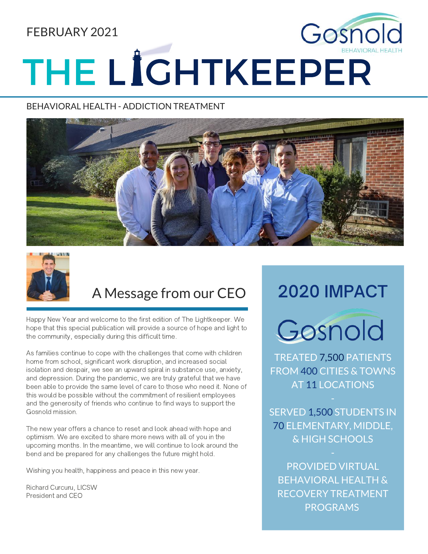## FEBRUARY 2021

# Gosnol THE LIGHTKEEPER

#### BEHAVIORAL HEALTH - ADDICTION TREATMENT





## A Message from our CEO

Happy New Year and welcome to the first edition of The Lightkeeper. We hope that this special publication will provide a source of hope and light to the community, especially during this difficult time.

As families continue to cope with the challenges that come with children home from school, significant work disruption, and increased social isolation and despair, we see an upward spiral in substance use, anxiety, and depression. During the pandemic, we are truly grateful that we have been able to provide the same level of care to those who need it. None of this would be possible without the commitment of resilient employees and the generosity of friends who continue to find ways to support the Gosnold mission.

The new year offers a chance to reset and look ahead with hope and optimism. We are excited to share more news with all of you in the upcoming months. In the meantime, we will continue to look around the bend and be prepared for any challenges the future might hold.

Wishing you health, happiness and peace in this new year.

Richard Curcuru, LICSW President and CEO

## 2020 IMPACT



TREATED 7,500 PATIENTS FROM 400 CITIES & TOWNS AT 11 LOCATIONS

SERVED 1,500 STUDENTS IN 70 ELEMENTARY, MIDDLE, & HIGH SCHOOLS

PROVIDED VIRTUAL BEHAVIORAL HEALTH & RECOVERY TREATMENT PROGRAMS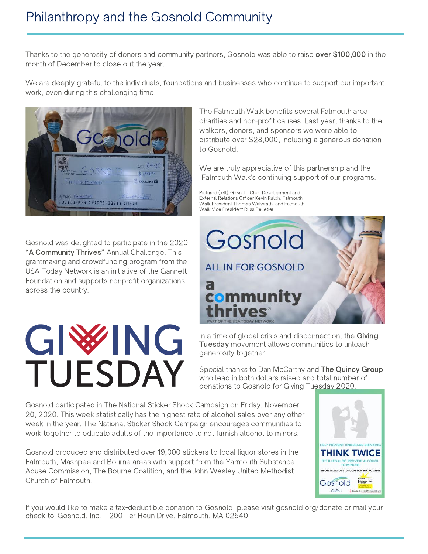Thanks to the generosity of donors and community partners, Gosnold was able to raise over \$100,000 in the month of December to close out the year.

We are deeply grateful to the individuals, foundations and businesses who continue to support our important work, even during this challenging time.



Gosnold was delighted to participate in the 2020 "A Community Thrives" Annual Challenge. This grantmaking and crowdfunding program from the USA Today Network is an initiative of the Gannett Foundation and supports nonprofit organizations across the country.

## GIWHG DAY  $\overline{\phantom{a}}$

The Falmouth Walk benefits several Falmouth area charities and non-profit causes. Last year, thanks to the walkers, donors, and sponsors we were able to distribute over \$28,000, including a generous donation to Gosnold.

We are truly appreciative of this partnership and the Falmouth Walk's continuing support of our programs.

Pictured (left): Gosnold Chief Development and External Relations Officer Kevin Ralph, Falmouth Walk President Thomas Walwrath, and Falmouth Walk Vice President Russ Pelletier



In a time of global crisis and disconnection, the Giving Tuesday movement allows communities to unleash generosity together.

Special thanks to Dan McCarthy and The Quincy Group who lead in both dollars raised and total number of donations to Gosnold for Giving Tuesday 2020.

Gosnold participated in The National Sticker Shock Campaign on Friday, November 20, 2020. This week statistically has the highest rate of alcohol sales over any other week in the year. The National Sticker Shock Campaign encourages communities to work together to educate adults of the importance to not furnish alcohol to minors.

Gosnold produced and distributed over 19,000 stickers to local liquor stores in the Falmouth, Mashpee and Bourne areas with support from the Yarmouth Substance Abuse Commission, The Bourne Coalition, and the John Wesley United Methodist Church of Falmouth.



If you would like to make a tax-deductible donation to Gosnold, please visit [gosnold.org/donate](http://gosnold.org/donate) or mail your check to: Gosnold, Inc. – 200 Ter Heun Drive, Falmouth, MA 02540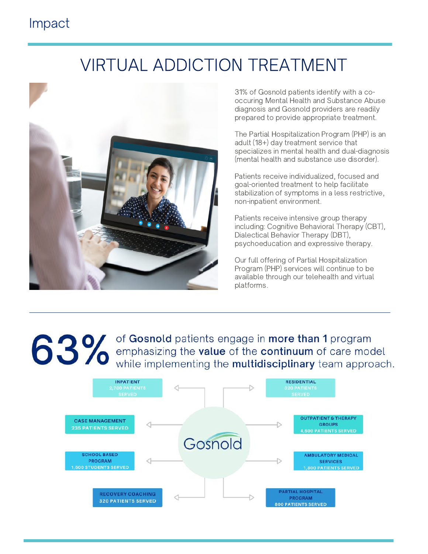## Impact

## VIRTUAL ADDICTION TREATMENT



31% of Gosnold patients identify with a cooccuring Mental Health and Substance Abuse diagnosis and Gosnold providers are readily prepared to provide appropriate treatment.

The Partial Hospitalization Program (PHP) is an adult (18+) day treatment service that specializes in mental health and dual-diagnosis (mental health and substance use disorder).

Patients receive individualized, focused and goal-oriented treatment to help facilitate stabilization of symptoms in a less restrictive, non-inpatient environment.

Patients receive intensive group therapy including: Cognitive Behavioral Therapy (CBT), Dialectical Behavior Therapy (DBT), psychoeducation and expressive therapy.

Our full offering of Partial Hospitalization Program (PHP) services will continue to be available through our telehealth and virtual platforms.

**8 3 % of Gosnold patients engage in more than 1 program**<br> **8 3 % of Gosnold patients engage in more than 1 program**<br>
while implementing the **multidisciplinary** team approach while implementing the multidisciplinary team approach.